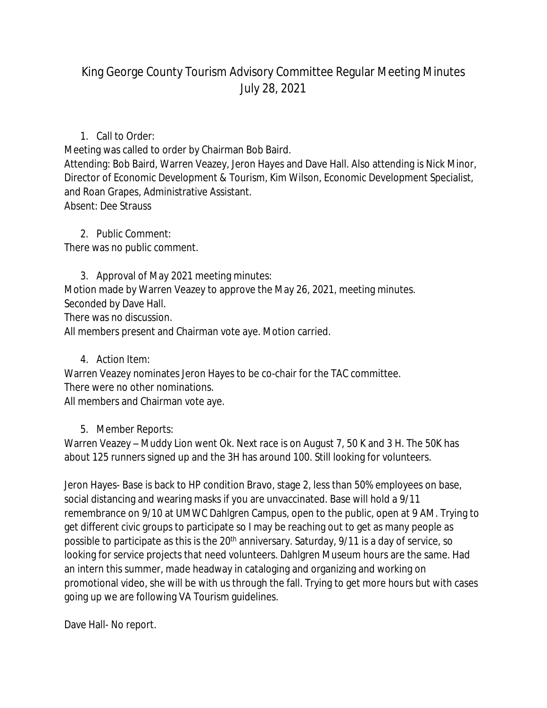## King George County Tourism Advisory Committee Regular Meeting Minutes July 28, 2021

## 1. Call to Order:

Meeting was called to order by Chairman Bob Baird.

Attending: Bob Baird, Warren Veazey, Jeron Hayes and Dave Hall. Also attending is Nick Minor, Director of Economic Development & Tourism, Kim Wilson, Economic Development Specialist, and Roan Grapes, Administrative Assistant. Absent: Dee Strauss

2. Public Comment: There was no public comment.

3. Approval of May 2021 meeting minutes: Motion made by Warren Veazey to approve the May 26, 2021, meeting minutes. Seconded by Dave Hall. There was no discussion. All members present and Chairman vote aye. Motion carried.

4. Action Item:

Warren Veazey nominates Jeron Hayes to be co-chair for the TAC committee. There were no other nominations. All members and Chairman vote aye.

## 5. Member Reports:

Warren Veazey – Muddy Lion went Ok. Next race is on August 7, 50 K and 3 H. The 50K has about 125 runners signed up and the 3H has around 100. Still looking for volunteers.

Jeron Hayes- Base is back to HP condition Bravo, stage 2, less than 50% employees on base, social distancing and wearing masks if you are unvaccinated. Base will hold a 9/11 remembrance on 9/10 at UMWC Dahlgren Campus, open to the public, open at 9 AM. Trying to get different civic groups to participate so I may be reaching out to get as many people as possible to participate as this is the 20<sup>th</sup> anniversary. Saturday, 9/11 is a day of service, so looking for service projects that need volunteers. Dahlgren Museum hours are the same. Had an intern this summer, made headway in cataloging and organizing and working on promotional video, she will be with us through the fall. Trying to get more hours but with cases going up we are following VA Tourism guidelines.

Dave Hall- No report.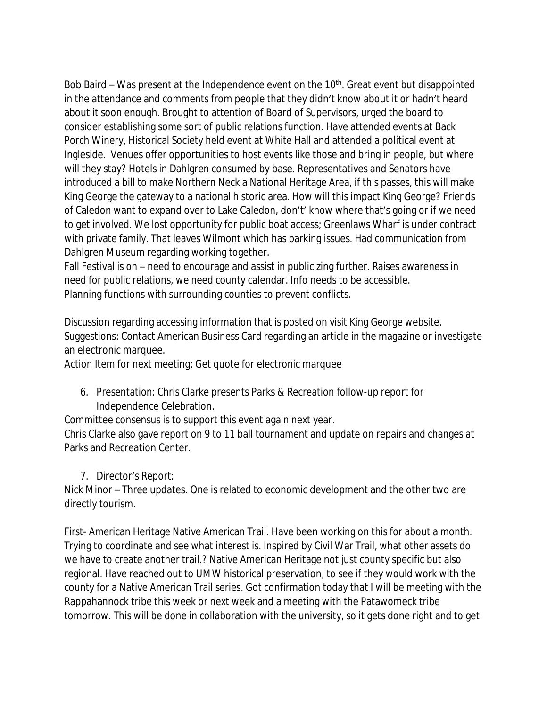Bob Baird  $-$  Was present at the Independence event on the 10<sup>th</sup>. Great event but disappointed in the attendance and comments from people that they didn't know about it or hadn't heard about it soon enough. Brought to attention of Board of Supervisors, urged the board to consider establishing some sort of public relations function. Have attended events at Back Porch Winery, Historical Society held event at White Hall and attended a political event at Ingleside. Venues offer opportunities to host events like those and bring in people, but where will they stay? Hotels in Dahlgren consumed by base. Representatives and Senators have introduced a bill to make Northern Neck a National Heritage Area, if this passes, this will make King George the gateway to a national historic area. How will this impact King George? Friends of Caledon want to expand over to Lake Caledon, don't' know where that's going or if we need to get involved. We lost opportunity for public boat access; Greenlaws Wharf is under contract with private family. That leaves Wilmont which has parking issues. Had communication from Dahlgren Museum regarding working together.

Fall Festival is on – need to encourage and assist in publicizing further. Raises awareness in need for public relations, we need county calendar. Info needs to be accessible. Planning functions with surrounding counties to prevent conflicts.

Discussion regarding accessing information that is posted on visit King George website. Suggestions: Contact American Business Card regarding an article in the magazine or investigate an electronic marquee.

Action Item for next meeting: Get quote for electronic marquee

6. Presentation: Chris Clarke presents Parks & Recreation follow-up report for Independence Celebration.

Committee consensus is to support this event again next year.

Chris Clarke also gave report on 9 to 11 ball tournament and update on repairs and changes at Parks and Recreation Center.

7. Director's Report:

Nick Minor – Three updates. One is related to economic development and the other two are directly tourism.

First- American Heritage Native American Trail. Have been working on this for about a month. Trying to coordinate and see what interest is. Inspired by Civil War Trail, what other assets do we have to create another trail.? Native American Heritage not just county specific but also regional. Have reached out to UMW historical preservation, to see if they would work with the county for a Native American Trail series. Got confirmation today that I will be meeting with the Rappahannock tribe this week or next week and a meeting with the Patawomeck tribe tomorrow. This will be done in collaboration with the university, so it gets done right and to get